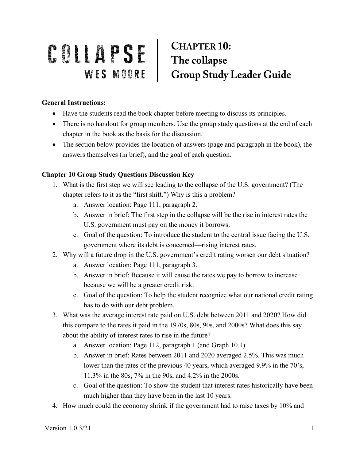## COMPANY SE CHAPTER 10:<br>
WES MOORE Group Study Leader Guide

## **General Instructions:**

- Have the students read the book chapter before meeting to discuss its principles.
- There is no handout for group members. Use the group study questions at the end of each chapter in the book as the basis for the discussion.
- The section below provides the location of answers (page and paragraph in the book), the answers themselves (in brief), and the goal of each question.

## **Chapter 10 Group Study Questions Discussion Key**

- 1. What is the first step we will see leading to the collapse of the U.S. government? (The chapter refers to it as the "first shift.") Why is this a problem?
	- a. Answer location: Page 111, paragraph 2.
	- b. Answer in brief: The first step in the collapse will be the rise in interest rates the U.S. government must pay on the money it borrows.
	- c. Goal of the question: To introduce the student to the central issue facing the U.S. government where its debt is concerned—rising interest rates.
- 2. Why will a future drop in the U.S. government's credit rating worsen our debt situation?
	- a. Answer location: Page 111, paragraph 3.
	- b. Answer in brief: Because it will cause the rates we pay to borrow to increase because we will be a greater credit risk.
	- c. Goal of the question: To help the student recognize what our national credit rating has to do with our debt problem.
- 3. What was the average interest rate paid on U.S. debt between 2011 and 2020? How did this compare to the rates it paid in the 1970s, 80s, 90s, and 2000s? What does this say about the ability of interest rates to rise in the future?
	- a. Answer location: Page 112, paragraph 1 (and Graph 10.1).
	- b. Answer in brief: Rates between 2011 and 2020 averaged 2.5%. This was much lower than the rates of the previous 40 years, which averaged 9.9% in the 70's, 11.3% in the 80s, 7% in the 90s, and 4.2% in the 2000s.
	- c. Goal of the question: To show the student that interest rates historically have been much higher than they have been in the last 10 years.
- 4. How much could the economy shrink if the government had to raise taxes by 10% and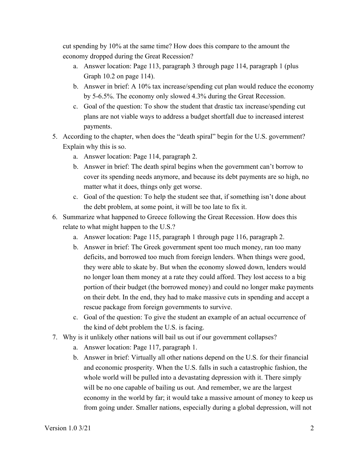cut spending by 10% at the same time? How does this compare to the amount the economy dropped during the Great Recession?

- a. Answer location: Page 113, paragraph 3 through page 114, paragraph 1 (plus Graph 10.2 on page 114).
- b. Answer in brief: A 10% tax increase/spending cut plan would reduce the economy by 5-6.5%. The economy only slowed 4.3% during the Great Recession.
- c. Goal of the question: To show the student that drastic tax increase/spending cut plans are not viable ways to address a budget shortfall due to increased interest payments.
- 5. According to the chapter, when does the "death spiral" begin for the U.S. government? Explain why this is so.
	- a. Answer location: Page 114, paragraph 2.
	- b. Answer in brief: The death spiral begins when the government can't borrow to cover its spending needs anymore, and because its debt payments are so high, no matter what it does, things only get worse.
	- c. Goal of the question: To help the student see that, if something isn't done about the debt problem, at some point, it will be too late to fix it.
- 6. Summarize what happened to Greece following the Great Recession. How does this relate to what might happen to the U.S.?
	- a. Answer location: Page 115, paragraph 1 through page 116, paragraph 2.
	- b. Answer in brief: The Greek government spent too much money, ran too many deficits, and borrowed too much from foreign lenders. When things were good, they were able to skate by. But when the economy slowed down, lenders would no longer loan them money at a rate they could afford. They lost access to a big portion of their budget (the borrowed money) and could no longer make payments on their debt. In the end, they had to make massive cuts in spending and accept a rescue package from foreign governments to survive.
	- c. Goal of the question: To give the student an example of an actual occurrence of the kind of debt problem the U.S. is facing.
- 7. Why is it unlikely other nations will bail us out if our government collapses?
	- a. Answer location: Page 117, paragraph 1.
	- b. Answer in brief: Virtually all other nations depend on the U.S. for their financial and economic prosperity. When the U.S. falls in such a catastrophic fashion, the whole world will be pulled into a devastating depression with it. There simply will be no one capable of bailing us out. And remember, we are the largest economy in the world by far; it would take a massive amount of money to keep us from going under. Smaller nations, especially during a global depression, will not